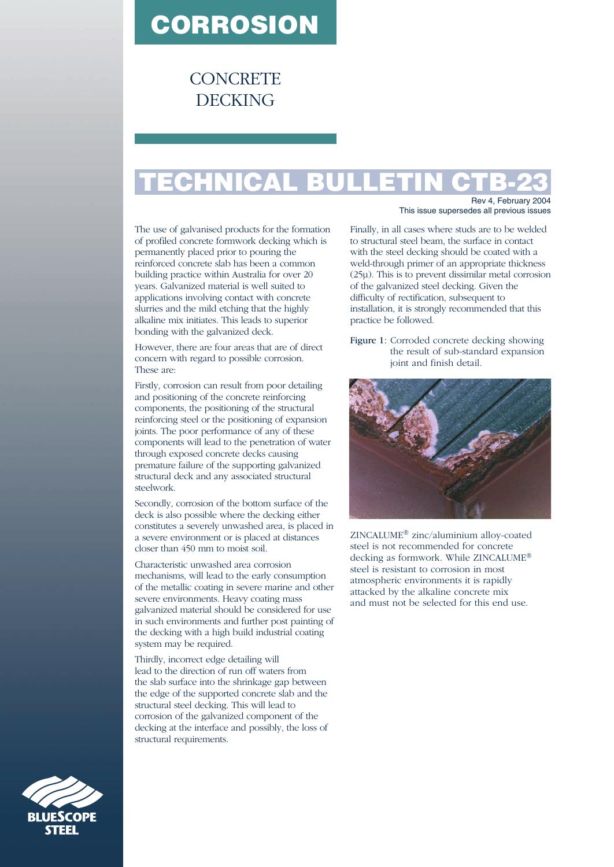## **CORROSION**

## **CONCRETE DECKING**

## **TECHNICAL BULLETIN CTB-23**

The use of galvanised products for the formation of profiled concrete formwork decking which is permanently placed prior to pouring the reinforced concrete slab has been a common building practice within Australia for over 20 years. Galvanized material is well suited to applications involving contact with concrete slurries and the mild etching that the highly alkaline mix initiates. This leads to superior bonding with the galvanized deck.

However, there are four areas that are of direct concern with regard to possible corrosion. These are:

Firstly, corrosion can result from poor detailing and positioning of the concrete reinforcing components, the positioning of the structural reinforcing steel or the positioning of expansion joints. The poor performance of any of these components will lead to the penetration of water through exposed concrete decks causing premature failure of the supporting galvanized structural deck and any associated structural steelwork.

Secondly, corrosion of the bottom surface of the deck is also possible where the decking either constitutes a severely unwashed area, is placed in a severe environment or is placed at distances closer than 450 mm to moist soil.

Characteristic unwashed area corrosion mechanisms, will lead to the early consumption of the metallic coating in severe marine and other severe environments. Heavy coating mass galvanized material should be considered for use in such environments and further post painting of the decking with a high build industrial coating system may be required.

Thirdly, incorrect edge detailing will lead to the direction of run off waters from the slab surface into the shrinkage gap between the edge of the supported concrete slab and the structural steel decking. This will lead to corrosion of the galvanized component of the decking at the interface and possibly, the loss of structural requirements.

Rev 4, February 2004 This issue supersedes all previous issues

Finally, in all cases where studs are to be welded to structural steel beam, the surface in contact with the steel decking should be coated with a weld-through primer of an appropriate thickness (25µ). This is to prevent dissimilar metal corrosion of the galvanized steel decking. Given the difficulty of rectification, subsequent to installation, it is strongly recommended that this practice be followed.

Figure 1: Corroded concrete decking showing the result of sub-standard expansion joint and finish detail.



ZINCALUME® zinc/aluminium alloy-coated steel is not recommended for concrete decking as formwork. While ZINCALUME® steel is resistant to corrosion in most atmospheric environments it is rapidly attacked by the alkaline concrete mix and must not be selected for this end use.